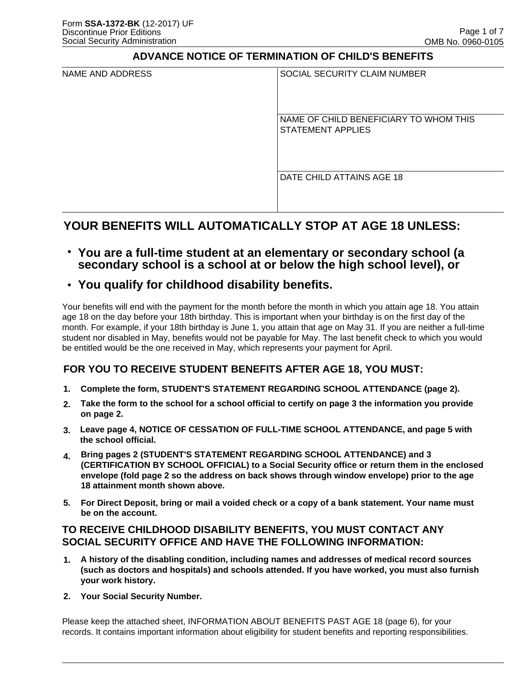### **ADVANCE NOTICE OF TERMINATION OF CHILD'S BENEFITS**

| NAME AND ADDRESS | SOCIAL SECURITY CLAIM NUMBER                                       |
|------------------|--------------------------------------------------------------------|
|                  | NAME OF CHILD BENEFICIARY TO WHOM THIS<br><b>STATEMENT APPLIES</b> |
|                  | DATE CHILD ATTAINS AGE 18                                          |

# **YOUR BENEFITS WILL AUTOMATICALLY STOP AT AGE 18 UNLESS:**

● **You are a full-time student at an elementary or secondary school (a secondary school is a school at or below the high school level), or**

# • You qualify for childhood disability benefits.

Your benefits will end with the payment for the month before the month in which you attain age 18. You attain age 18 on the day before your 18th birthday. This is important when your birthday is on the first day of the month. For example, if your 18th birthday is June 1, you attain that age on May 31. If you are neither a full-time student nor disabled in May, benefits would not be payable for May. The last benefit check to which you would be entitled would be the one received in May, which represents your payment for April.

# **FOR YOU TO RECEIVE STUDENT BENEFITS AFTER AGE 18, YOU MUST:**

- **1. Complete the form, STUDENT'S STATEMENT REGARDING SCHOOL ATTENDANCE (page 2).**
- **2. Take the form to the school for a school official to certify on page 3 the information you provide on page 2.**
- **3. Leave page 4, NOTICE OF CESSATION OF FULL-TIME SCHOOL ATTENDANCE, and page 5 with the school official.**
- **4. Bring pages 2 (STUDENT'S STATEMENT REGARDING SCHOOL ATTENDANCE) and 3 (CERTIFICATION BY SCHOOL OFFICIAL) to a Social Security office or return them in the enclosed envelope (fold page 2 so the address on back shows through window envelope) prior to the age 18 attainment month shown above.**
- **5. For Direct Deposit, bring or mail a voided check or a copy of a bank statement. Your name must be on the account.**

## **TO RECEIVE CHILDHOOD DISABILITY BENEFITS, YOU MUST CONTACT ANY SOCIAL SECURITY OFFICE AND HAVE THE FOLLOWING INFORMATION:**

- **1. A history of the disabling condition, including names and addresses of medical record sources (such as doctors and hospitals) and schools attended. If you have worked, you must also furnish your work history.**
- **2. Your Social Security Number.**

Please keep the attached sheet, INFORMATION ABOUT BENEFITS PAST AGE 18 (page 6), for your records. It contains important information about eligibility for student benefits and reporting responsibilities.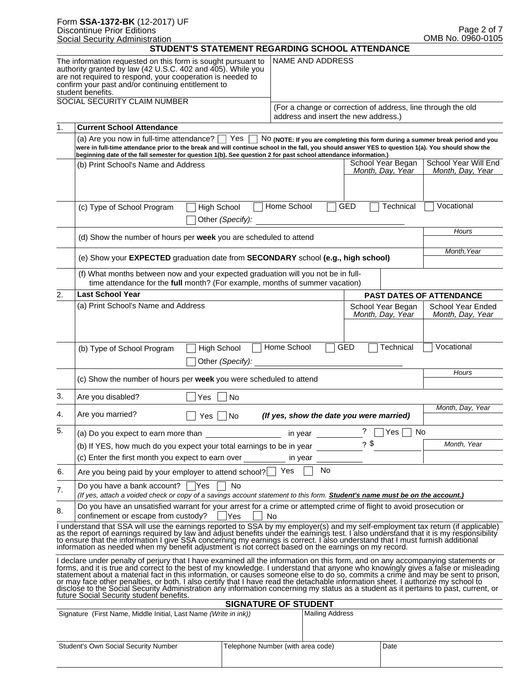|    | Form SSA-1372-BK (12-2017) UF<br><b>Discontinue Prior Editions</b>                                                                                                                                                                                                                                                                                                                                                                                                                                                                                                                                                                                                                                                               |                                   |                                      |                |                                          | Page 2 of 7                                                                    |
|----|----------------------------------------------------------------------------------------------------------------------------------------------------------------------------------------------------------------------------------------------------------------------------------------------------------------------------------------------------------------------------------------------------------------------------------------------------------------------------------------------------------------------------------------------------------------------------------------------------------------------------------------------------------------------------------------------------------------------------------|-----------------------------------|--------------------------------------|----------------|------------------------------------------|--------------------------------------------------------------------------------|
|    | <b>Social Security Administration</b>                                                                                                                                                                                                                                                                                                                                                                                                                                                                                                                                                                                                                                                                                            |                                   |                                      |                |                                          | OMB No. 0960-0105                                                              |
|    | STUDENT'S STATEMENT REGARDING SCHOOL ATTENDANCE                                                                                                                                                                                                                                                                                                                                                                                                                                                                                                                                                                                                                                                                                  |                                   |                                      |                |                                          |                                                                                |
|    | The information requested on this form is sought pursuant to<br>authority granted by law (42 U.S.C. 402 and 405). While you<br>are not required to respond, your cooperation is needed to<br>confirm your past and/or continuing entitlement to<br>student benefits.                                                                                                                                                                                                                                                                                                                                                                                                                                                             |                                   | <b>NAME AND ADDRESS</b>              |                |                                          |                                                                                |
|    | SOCIAL SECURITY CLAIM NUMBER                                                                                                                                                                                                                                                                                                                                                                                                                                                                                                                                                                                                                                                                                                     |                                   |                                      |                |                                          | (For a change or correction of address, line through the old                   |
|    |                                                                                                                                                                                                                                                                                                                                                                                                                                                                                                                                                                                                                                                                                                                                  |                                   | address and insert the new address.) |                |                                          |                                                                                |
| 1. | <b>Current School Attendance</b>                                                                                                                                                                                                                                                                                                                                                                                                                                                                                                                                                                                                                                                                                                 |                                   |                                      |                |                                          |                                                                                |
|    | (a) Are you now in full-time attendance?<br>Yes<br>were in full-time attendance prior to the break and will continue school in the fall, you should answer YES to question 1(a). You should show the<br>beginning date of the fall semester for question 1(b). See question 2 for past school attendance information.)                                                                                                                                                                                                                                                                                                                                                                                                           |                                   |                                      |                |                                          | NO (NOTE: If you are completing this form during a summer break period and you |
|    | (b) Print School's Name and Address                                                                                                                                                                                                                                                                                                                                                                                                                                                                                                                                                                                                                                                                                              |                                   |                                      |                | School Year Began<br>Month, Day, Year    | School Year Will End<br>Month, Day, Year                                       |
|    | (c) Type of School Program<br><b>High School</b><br>Other (Specify):                                                                                                                                                                                                                                                                                                                                                                                                                                                                                                                                                                                                                                                             | Home School                       |                                      | <b>GED</b>     | Technical                                | Vocational                                                                     |
|    | (d) Show the number of hours per week you are scheduled to attend                                                                                                                                                                                                                                                                                                                                                                                                                                                                                                                                                                                                                                                                |                                   |                                      |                |                                          | Hours                                                                          |
|    | (e) Show your EXPECTED graduation date from SECONDARY school (e.g., high school)                                                                                                                                                                                                                                                                                                                                                                                                                                                                                                                                                                                                                                                 |                                   |                                      |                |                                          | Month, Year                                                                    |
|    | (f) What months between now and your expected graduation will you not be in full-<br>time attendance for the full month? (For example, months of summer vacation)                                                                                                                                                                                                                                                                                                                                                                                                                                                                                                                                                                |                                   |                                      |                |                                          |                                                                                |
| 2. | <b>Last School Year</b>                                                                                                                                                                                                                                                                                                                                                                                                                                                                                                                                                                                                                                                                                                          |                                   |                                      |                |                                          | <b>PAST DATES OF ATTENDANCE</b>                                                |
|    | (a) Print School's Name and Address                                                                                                                                                                                                                                                                                                                                                                                                                                                                                                                                                                                                                                                                                              |                                   |                                      |                | School Year Began<br>Month, Day, Year    | <b>School Year Ended</b><br>Month, Day, Year                                   |
|    | <b>High School</b><br>(b) Type of School Program<br>Other (Specify):                                                                                                                                                                                                                                                                                                                                                                                                                                                                                                                                                                                                                                                             | Home School                       |                                      | <b>GED</b>     | Technical                                | Vocational                                                                     |
|    | (c) Show the number of hours per week you were scheduled to attend                                                                                                                                                                                                                                                                                                                                                                                                                                                                                                                                                                                                                                                               |                                   |                                      |                |                                          | Hours                                                                          |
| 3. | Are you disabled?<br>Yes<br>No.                                                                                                                                                                                                                                                                                                                                                                                                                                                                                                                                                                                                                                                                                                  |                                   |                                      |                |                                          |                                                                                |
| 4. | Are you married?<br>$Yes \mid \text{No}$                                                                                                                                                                                                                                                                                                                                                                                                                                                                                                                                                                                                                                                                                         |                                   |                                      |                | (If yes, show the date you were married) | Month, Day, Year                                                               |
| 5. | (a) Do you expect to earn more than                                                                                                                                                                                                                                                                                                                                                                                                                                                                                                                                                                                                                                                                                              | in year                           |                                      | $\overline{?}$ | Yes                                      | No                                                                             |
|    | (b) If YES, how much do you expect your total earnings to be in year                                                                                                                                                                                                                                                                                                                                                                                                                                                                                                                                                                                                                                                             |                                   |                                      |                | $2$ \$                                   | Month, Year                                                                    |
|    | (c) Enter the first month you expect to earn over                                                                                                                                                                                                                                                                                                                                                                                                                                                                                                                                                                                                                                                                                | in year                           |                                      |                |                                          |                                                                                |
| 6. | Are you being paid by your employer to attend school?                                                                                                                                                                                                                                                                                                                                                                                                                                                                                                                                                                                                                                                                            | Yes                               | <b>No</b>                            |                |                                          |                                                                                |
| 7. | Do you have a bank account? $\Box$ Yes<br>No<br>(If yes, attach a voided check or copy of a savings account statement to this form. <b>Student's name must be on the account.)</b>                                                                                                                                                                                                                                                                                                                                                                                                                                                                                                                                               |                                   |                                      |                |                                          |                                                                                |
| 8. | Do you have an unsatisfied warrant for your arrest for a crime or attempted crime of flight to avoid prosecution or<br>confinement or escape from custody?<br>Yes                                                                                                                                                                                                                                                                                                                                                                                                                                                                                                                                                                | No                                |                                      |                |                                          |                                                                                |
|    | I understand that SSA will use the earnings reported to SSA by my employer(s) and my self-employment tax return (if applicable)<br>as the report of earnings required by law and adjust benefits under the earnings test. I also understand that it is my responsibility<br>to ensure that the information I give SSA concerning my earnings is correct. I also understand that I must furnish additional<br>information as needed when my benefit adjustment is not correct based on the earnings on my record.                                                                                                                                                                                                                 |                                   |                                      |                |                                          |                                                                                |
|    | I declare under penalty of perjury that I have examined all the information on this form, and on any accompanying statements or<br>forms, and it is true and correct to the best of my knowledge. I understand that anyone who knowingly gives a false or misleading<br>statement about a material fact in this information, or causes someone else to do so, commits a crime and may be sent to prison,<br>or may face other penalties, or both. I also certify that I have read the detachable information sheet. I authorize my school to<br>disclose to the Social Security Administration any information concerning my status as a student as it pertains to past, current, or<br>future Social Security student benefits. |                                   |                                      |                |                                          |                                                                                |
|    | Signature (First Name, Middle Initial, Last Name (Write in ink))                                                                                                                                                                                                                                                                                                                                                                                                                                                                                                                                                                                                                                                                 | <b>SIGNATURE OF STUDENT</b>       | <b>Mailing Address</b>               |                |                                          |                                                                                |
|    |                                                                                                                                                                                                                                                                                                                                                                                                                                                                                                                                                                                                                                                                                                                                  |                                   |                                      |                |                                          |                                                                                |
|    | <b>Student's Own Social Security Number</b>                                                                                                                                                                                                                                                                                                                                                                                                                                                                                                                                                                                                                                                                                      | Telephone Number (with area code) |                                      |                | Date                                     |                                                                                |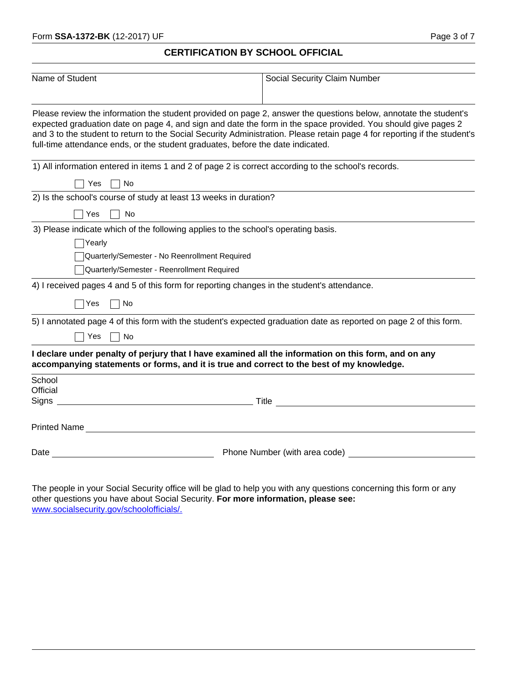### **CERTIFICATION BY SCHOOL OFFICIAL**

| Name of Student                                                                                                                                                                                                                                                                                                                                                                                                                                   | Social Security Claim Number    |  |  |  |  |  |
|---------------------------------------------------------------------------------------------------------------------------------------------------------------------------------------------------------------------------------------------------------------------------------------------------------------------------------------------------------------------------------------------------------------------------------------------------|---------------------------------|--|--|--|--|--|
| Please review the information the student provided on page 2, answer the questions below, annotate the student's<br>expected graduation date on page 4, and sign and date the form in the space provided. You should give pages 2<br>and 3 to the student to return to the Social Security Administration. Please retain page 4 for reporting if the student's<br>full-time attendance ends, or the student graduates, before the date indicated. |                                 |  |  |  |  |  |
| 1) All information entered in items 1 and 2 of page 2 is correct according to the school's records.                                                                                                                                                                                                                                                                                                                                               |                                 |  |  |  |  |  |
| Yes<br>No                                                                                                                                                                                                                                                                                                                                                                                                                                         |                                 |  |  |  |  |  |
| 2) Is the school's course of study at least 13 weeks in duration?                                                                                                                                                                                                                                                                                                                                                                                 |                                 |  |  |  |  |  |
| Yes<br>No                                                                                                                                                                                                                                                                                                                                                                                                                                         |                                 |  |  |  |  |  |
| 3) Please indicate which of the following applies to the school's operating basis.                                                                                                                                                                                                                                                                                                                                                                |                                 |  |  |  |  |  |
| Yearly                                                                                                                                                                                                                                                                                                                                                                                                                                            |                                 |  |  |  |  |  |
| Quarterly/Semester - No Reenrollment Required                                                                                                                                                                                                                                                                                                                                                                                                     |                                 |  |  |  |  |  |
| Quarterly/Semester - Reenrollment Required                                                                                                                                                                                                                                                                                                                                                                                                        |                                 |  |  |  |  |  |
| 4) I received pages 4 and 5 of this form for reporting changes in the student's attendance.                                                                                                                                                                                                                                                                                                                                                       |                                 |  |  |  |  |  |
| $\bigcap$ Yes<br>$\Box$ No                                                                                                                                                                                                                                                                                                                                                                                                                        |                                 |  |  |  |  |  |
| 5) I annotated page 4 of this form with the student's expected graduation date as reported on page 2 of this form.                                                                                                                                                                                                                                                                                                                                |                                 |  |  |  |  |  |
| Yes<br>$\Box$ No                                                                                                                                                                                                                                                                                                                                                                                                                                  |                                 |  |  |  |  |  |
| I declare under penalty of perjury that I have examined all the information on this form, and on any<br>accompanying statements or forms, and it is true and correct to the best of my knowledge.                                                                                                                                                                                                                                                 |                                 |  |  |  |  |  |
| School                                                                                                                                                                                                                                                                                                                                                                                                                                            |                                 |  |  |  |  |  |
| Official                                                                                                                                                                                                                                                                                                                                                                                                                                          |                                 |  |  |  |  |  |
| Signs _<br><u>and the set of the set of the set of the set of the set of the set of the set of the set of the set of the set of the set of the set of the set of the set of the set of the set of the set of the set of the set of the set </u>                                                                                                                                                                                                   |                                 |  |  |  |  |  |
|                                                                                                                                                                                                                                                                                                                                                                                                                                                   |                                 |  |  |  |  |  |
| Date                                                                                                                                                                                                                                                                                                                                                                                                                                              | Phone Number (with area code) _ |  |  |  |  |  |
|                                                                                                                                                                                                                                                                                                                                                                                                                                                   |                                 |  |  |  |  |  |

The people in your Social Security office will be glad to help you with any questions c[oncerning this form or any](www.socialsecurity.gov/schoolofficials/.)  other questions you have about Social Security. **For more information, please see:** <www.socialsecurity.gov/schoolofficials/.>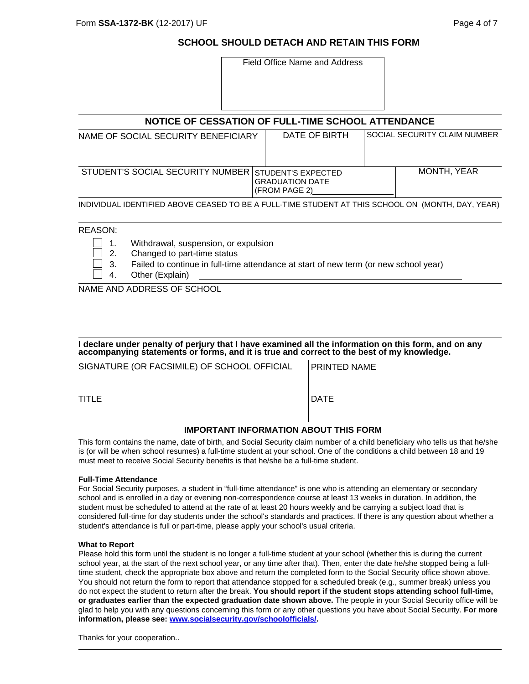### **SCHOOL SHOULD DETACH AND RETAIN THIS FORM**

| NOTICE OF CESSATION OF FULL-TIME SCHOOL ATTENDANCE                                                |                              |  |  |  |  |  |  |
|---------------------------------------------------------------------------------------------------|------------------------------|--|--|--|--|--|--|
| DATE OF BIRTH<br>NAME OF SOCIAL SECURITY BENEFICIARY                                              | SOCIAL SECURITY CLAIM NUMBER |  |  |  |  |  |  |
| STUDENT'S SOCIAL SECURITY NUMBER<br>STUDENT'S EXPECTED<br><b>GRADUATION DATE</b><br>(FROM PAGE 2) | MONTH, YEAR                  |  |  |  |  |  |  |

#### REASON:

- 1. Withdrawal, suspension, or expulsion
	- 2. Changed to part-time status
	- 3. Failed to continue in full-time attendance at start of new term (or new school year)
	- 4. Other (Explain)

NAME AND ADDRESS OF SCHOOL

| I declare under penalty of perjury that I have examined all the information on this form, and on any<br>accompanying statements or forms, and it is true and correct to the best of my knowledge. |  |
|---------------------------------------------------------------------------------------------------------------------------------------------------------------------------------------------------|--|
|                                                                                                                                                                                                   |  |

| SIGNATURE (OR FACSIMILE) OF SCHOOL OFFICIAL | <b>IPRINTED NAME</b> |
|---------------------------------------------|----------------------|
|                                             |                      |
| TITLE                                       | <b>IDATE</b>         |
|                                             |                      |

#### **IMPORTANT INFORMATION ABOUT THIS FORM**

This form contains the name, date of birth, and Social Security claim number of a child beneficiary who tells us that he/she is (or will be when school resumes) a full-time student at your school. One of the conditions a child between 18 and 19 must meet to receive Social Security benefits is that he/she be a full-time student.

#### **Full-Time Attendance**

For Social Security purposes, a student in "full-time attendance" is one who is attending an elementary or secondary school and is enrolled in a day or evening non-correspondence course at least 13 weeks in duration. In addition, the student must be scheduled to attend at the rate of at least 20 hours weekly and be carrying a subject load that is considered full-time for day students under the school's standards and practices. If there is any question about whether a student's attendance is full or part-time, please apply your school's usual criteria.

#### **What to Report**

Please hold this form until the student is no longer a full-time student at your school (whether this is during the current school year, at the start of the next school year, or any time after that). Then, enter the date he/she stopped being a fulltime student, check the appropriate box above and return the completed form to the Social Security office shown above. You should not return the form to report that attendance stopped for a scheduled break (e.g., summer break) unless you do not expect the student to return after the break. **You should report if the student stops attending school full-time, or graduates earlier than the expected graduation date shown above.** The people in your Social Security office will be glad to help you with any questions concerning this form or any other questions you have about Social Security. **For more information, please see: www.socialsecurity.gov/schoolofficials/.** 

Thanks for your cooperation..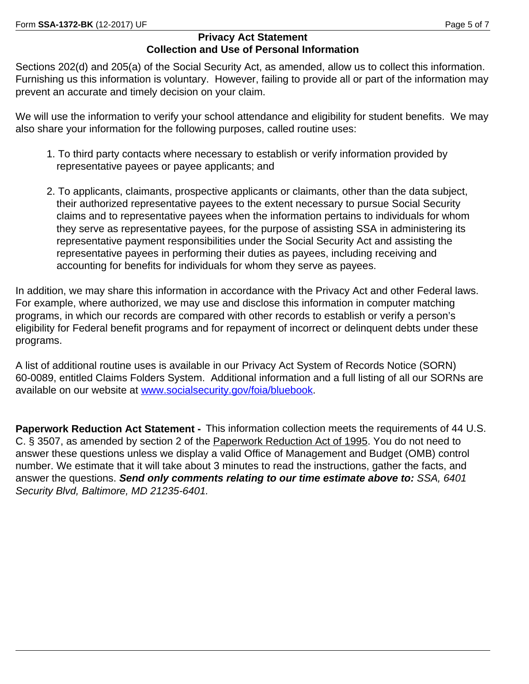# **Privacy Act Statement Collection and Use of Personal Information**

Sections 202(d) and 205(a) of the Social Security Act, as amended, allow us to collect this information. Furnishing us this information is voluntary. However, failing to provide all or part of the information may prevent an accurate and timely decision on your claim.

We will use the information to verify your school attendance and eligibility for student benefits. We may also share your information for the following purposes, called routine uses:

- 1. To third party contacts where necessary to establish or verify information provided by representative payees or payee applicants; and
- 2. To applicants, claimants, prospective applicants or claimants, other than the data subject, their authorized representative payees to the extent necessary to pursue Social Security claims and to representative payees when the information pertains to individuals for whom they serve as representative payees, for the purpose of assisting SSA in administering its representative payment responsibilities under the Social Security Act and assisting the representative payees in performing their duties as payees, including receiving and accounting for benefits for individuals for whom they serve as payees.

In addition, we may share this information in accordance with the Privacy Act and other Federal laws. For example, where authorized, we may use and disclose this information in computer matching programs, in which our records are compared with other records to establish or verify a person's eligibility for Federal benefit programs and for repayment of incorrect or delinquent debts under these programs.

A list of additional routine uses is available in our Privacy Act System of Records Notice (SORN) 60-0089, entitled Claims Folders System. Additional information and a full listing of all our SORNs are available on our website at<www.socialsecurity.gov/foia/bluebook>.

**Paperwork Reduction Act Statement -** This information collection meets the requirements of 44 U.S. C. § 3507, as amended by section 2 of the Paperwork Reduction Act of 1995. You do not need to answer these questions unless we display a valid Office of Management and Budget (OMB) control number. We estimate that it will take about 3 minutes to read the instructions, gather the facts, and answer the questions. *Send only comments relating to our time estimate above to: SSA, 6401 Security Blvd, Baltimore, MD 21235-6401.*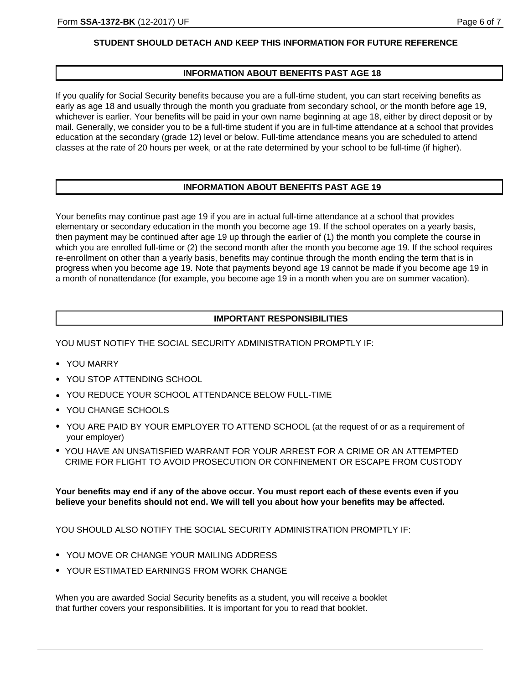### **STUDENT SHOULD DETACH AND KEEP THIS INFORMATION FOR FUTURE REFERENCE**

### **INFORMATION ABOUT BENEFITS PAST AGE 18**

If you qualify for Social Security benefits because you are a full-time student, you can start receiving benefits as early as age 18 and usually through the month you graduate from secondary school, or the month before age 19, whichever is earlier. Your benefits will be paid in your own name beginning at age 18, either by direct deposit or by mail. Generally, we consider you to be a full-time student if you are in full-time attendance at a school that provides education at the secondary (grade 12) level or below. Full-time attendance means you are scheduled to attend classes at the rate of 20 hours per week, or at the rate determined by your school to be full-time (if higher).

### **INFORMATION ABOUT BENEFITS PAST AGE 19**

Your benefits may continue past age 19 if you are in actual full-time attendance at a school that provides elementary or secondary education in the month you become age 19. If the school operates on a yearly basis, then payment may be continued after age 19 up through the earlier of (1) the month you complete the course in which you are enrolled full-time or (2) the second month after the month you become age 19. If the school requires re-enrollment on other than a yearly basis, benefits may continue through the month ending the term that is in progress when you become age 19. Note that payments beyond age 19 cannot be made if you become age 19 in a month of nonattendance (for example, you become age 19 in a month when you are on summer vacation).

### **IMPORTANT RESPONSIBILITIES**

YOU MUST NOTIFY THE SOCIAL SECURITY ADMINISTRATION PROMPTLY IF:

- YOU MARRY
- YOU STOP ATTENDING SCHOOL
- YOU REDUCE YOUR SCHOOL ATTENDANCE BELOW FULL-TIME
- YOU CHANGE SCHOOLS
- YOU ARE PAID BY YOUR EMPLOYER TO ATTEND SCHOOL (at the request of or as a requirement of your employer)
- YOU HAVE AN UNSATISFIED WARRANT FOR YOUR ARREST FOR A CRIME OR AN ATTEMPTED CRIME FOR FLIGHT TO AVOID PROSECUTION OR CONFINEMENT OR ESCAPE FROM CUSTODY

**Your benefits may end if any of the above occur. You must report each of these events even if you believe your benefits should not end. We will tell you about how your benefits may be affected.**

YOU SHOULD ALSO NOTIFY THE SOCIAL SECURITY ADMINISTRATION PROMPTLY IF:

- YOU MOVE OR CHANGE YOUR MAILING ADDRESS
- YOUR ESTIMATED EARNINGS FROM WORK CHANGE

When you are awarded Social Security benefits as a student, you will receive a booklet that further covers your responsibilities. It is important for you to read that booklet.